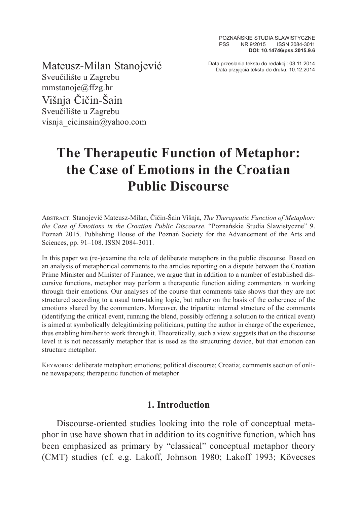POZNAŃSKIE STUDIA SLAWISTYCZNE PSS NR 9/2015 ISSN 2084-3011 **DOI: 10.14746/pss.2015.9.6**

Data przesłania tekstu do redakcji: 03.11.2014 Mateusz-Milan Stanojević Data przyjęcia tekstu do druku: 10.12.2014

Sveučilište u Zagrebu mmstanoje@ffzg.hr Višnja Čičin-Šain Sveučilište u Zagrebu visnja\_cicinsain@yahoo.com

# **The Therapeutic Function of Metaphor: the Case of Emotions in the Croatian Public Discourse**

Abstract: Stanojević Mateusz-Milan, Čičin-Šain Višnja, *The Therapeutic Function of Metaphor: the Case of Emotions in the Croatian Public Discourse*. "Poznańskie Studia Slawistyczne" 9. Poznań 2015. Publishing House of the Poznań Society for the Advancement of the Arts and Sciences, pp. 91–108. ISSN 2084-3011.

In this paper we (re-)examine the role of deliberate metaphors in the public discourse. Based on an analysis of metaphorical comments to the articles reporting on a dispute between the Croatian Prime Minister and Minister of Finance, we argue that in addition to a number of established discursive functions, metaphor may perform a therapeutic function aiding commenters in working through their emotions. Our analyses of the course that comments take shows that they are not structured according to a usual turn-taking logic, but rather on the basis of the coherence of the emotions shared by the commenters. Moreover, the tripartite internal structure of the comments (identifying the critical event, running the blend, possibly offering a solution to the critical event) is aimed at symbolically delegitimizing politicians, putting the author in charge of the experience, thus enabling him/her to work through it. Theoretically, such a view suggests that on the discourse level it is not necessarily metaphor that is used as the structuring device, but that emotion can structure metaphor.

KEYWORDS: deliberate metaphor; emotions; political discourse; Croatia; comments section of online newspapers; therapeutic function of metaphor

## **1. Introduction**

Discourse-oriented studies looking into the role of conceptual metaphor in use have shown that in addition to its cognitive function, which has been emphasized as primary by "classical" conceptual metaphor theory (CMT) studies (cf. e.g. Lakoff, Johnson 1980; Lakoff 1993; Kövecses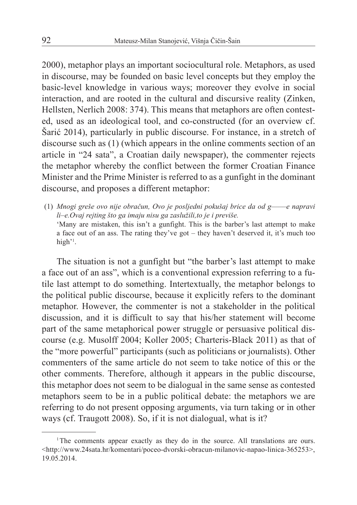2000), metaphor plays an important sociocultural role. Metaphors, as used in discourse, may be founded on basic level concepts but they employ the basic-level knowledge in various ways; moreover they evolve in social interaction, and are rooted in the cultural and discursive reality (Zinken, Hellsten, Nerlich 2008: 374). This means that metaphors are often contested, used as an ideological tool, and co-constructed (for an overview cf. Šarić 2014), particularly in public discourse. For instance, in a stretch of discourse such as (1) (which appears in the online comments section of an article in "24 sata", a Croatian daily newspaper), the commenter rejects the metaphor whereby the conflict between the former Croatian Finance Minister and the Prime Minister is referred to as a gunfight in the dominant discourse, and proposes a different metaphor:

(1) *Mnogi greše ovo nije obračun, Ovo je posljedni pokušaj brice da od g––––e napravi li–e.Ovaj rejting što ga imaju nisu ga zaslužili,to je i previše.* 'Many are mistaken, this isn't a gunfight. This is the barber's last attempt to make a face out of an ass. The rating they've got – they haven't deserved it, it's much too high'<sup>1</sup>.

The situation is not a gunfight but "the barber's last attempt to make a face out of an ass", which is a conventional expression referring to a futile last attempt to do something. Intertextually, the metaphor belongs to the political public discourse, because it explicitly refers to the dominant metaphor. However, the commenter is not a stakeholder in the political discussion, and it is difficult to say that his/her statement will become part of the same metaphorical power struggle or persuasive political discourse (e.g. Musolff 2004; Koller 2005; Charteris-Black 2011) as that of the "more powerful" participants (such as politicians or journalists). Other commenters of the same article do not seem to take notice of this or the other comments. Therefore, although it appears in the public discourse, this metaphor does not seem to be dialogual in the same sense as contested metaphors seem to be in a public political debate: the metaphors we are referring to do not present opposing arguments, via turn taking or in other ways (cf. Traugott 2008). So, if it is not dialogual, what is it?

<sup>&</sup>lt;sup>1</sup>The comments appear exactly as they do in the source. All translations are ours. <http://www.24sata.hr/komentari/poceo-dvorski-obracun-milanovic-napao-linica-365253>, 19.05.2014.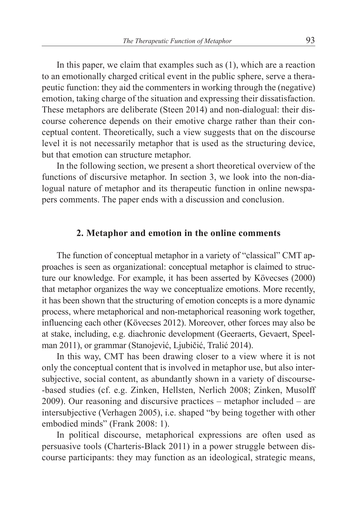In this paper, we claim that examples such as (1), which are a reaction to an emotionally charged critical event in the public sphere, serve a therapeutic function: they aid the commenters in working through the (negative) emotion, taking charge of the situation and expressing their dissatisfaction. These metaphors are deliberate (Steen 2014) and non-dialogual: their discourse coherence depends on their emotive charge rather than their conceptual content. Theoretically, such a view suggests that on the discourse level it is not necessarily metaphor that is used as the structuring device, but that emotion can structure metaphor.

In the following section, we present a short theoretical overview of the functions of discursive metaphor. In section 3, we look into the non-dialogual nature of metaphor and its therapeutic function in online newspapers comments. The paper ends with a discussion and conclusion.

## **2. Metaphor and emotion in the online comments**

The function of conceptual metaphor in a variety of "classical" CMT approaches is seen as organizational: conceptual metaphor is claimed to structure our knowledge. For example, it has been asserted by Kövecses (2000) that metaphor organizes the way we conceptualize emotions. More recently, it has been shown that the structuring of emotion concepts is a more dynamic process, where metaphorical and non-metaphorical reasoning work together, influencing each other (Kövecses 2012). Moreover, other forces may also be at stake, including, e.g. diachronic development (Geeraerts, Gevaert, Speelman 2011), or grammar (Stanojević, Ljubičić, Tralić 2014).

In this way, CMT has been drawing closer to a view where it is not only the conceptual content that is involved in metaphor use, but also intersubjective, social content, as abundantly shown in a variety of discourse- -based studies (cf. e.g. Zinken, Hellsten, Nerlich 2008; Zinken, Musolff 2009). Our reasoning and discursive practices – metaphor included – are intersubjective (Verhagen 2005), i.e. shaped "by being together with other embodied minds" (Frank 2008: 1).

In political discourse, metaphorical expressions are often used as persuasive tools (Charteris-Black 2011) in a power struggle between discourse participants: they may function as an ideological, strategic means,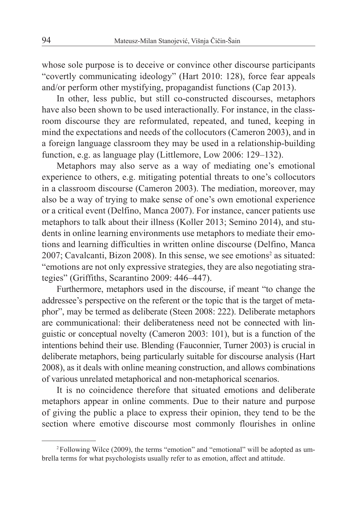whose sole purpose is to deceive or convince other discourse participants "covertly communicating ideology" (Hart 2010: 128), force fear appeals and/or perform other mystifying, propagandist functions (Cap 2013).

In other, less public, but still co-constructed discourses, metaphors have also been shown to be used interactionally. For instance, in the classroom discourse they are reformulated, repeated, and tuned, keeping in mind the expectations and needs of the collocutors (Cameron 2003), and in a foreign language classroom they may be used in a relationship-building function, e.g. as language play (Littlemore, Low 2006: 129–132).

Metaphors may also serve as a way of mediating one's emotional experience to others, e.g. mitigating potential threats to one's collocutors in a classroom discourse (Cameron 2003). The mediation, moreover, may also be a way of trying to make sense of one's own emotional experience or a critical event (Delfino, Manca 2007). For instance, cancer patients use metaphors to talk about their illness (Koller 2013; Semino 2014), and students in online learning environments use metaphors to mediate their emotions and learning difficulties in written online discourse (Delfino, Manca 2007; Cavalcanti, Bizon 2008). In this sense, we see emotions<sup>2</sup> as situated: "emotions are not only expressive strategies, they are also negotiating strategies" (Griffiths, Scarantino 2009: 446–447).

Furthermore, metaphors used in the discourse, if meant "to change the addressee's perspective on the referent or the topic that is the target of metaphor", may be termed as deliberate (Steen 2008: 222). Deliberate metaphors are communicational: their deliberateness need not be connected with linguistic or conceptual novelty (Cameron 2003: 101), but is a function of the intentions behind their use. Blending (Fauconnier, Turner 2003) is crucial in deliberate metaphors, being particularly suitable for discourse analysis (Hart 2008), as it deals with online meaning construction, and allows combinations of various unrelated metaphorical and non-metaphorical scenarios.

It is no coincidence therefore that situated emotions and deliberate metaphors appear in online comments. Due to their nature and purpose of giving the public a place to express their opinion, they tend to be the section where emotive discourse most commonly flourishes in online

<sup>2</sup>Following Wilce (2009), the terms "emotion" and "emotional" will be adopted as umbrella terms for what psychologists usually refer to as emotion, affect and attitude.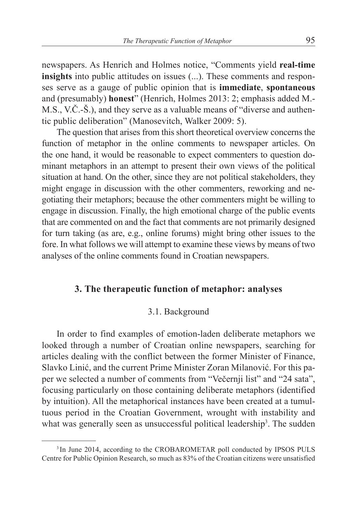newspapers. As Henrich and Holmes notice, "Comments yield **real-time insights** into public attitudes on issues (...). These comments and responses serve as a gauge of public opinion that is **immediate**, **spontaneous** and (presumably) **honest**" (Henrich, Holmes 2013: 2; emphasis added M.- M.S., V.Č.-Š.), and they serve as a valuable means of "diverse and authentic public deliberation" (Manosevitch, Walker 2009: 5).

The question that arises from this short theoretical overview concerns the function of metaphor in the online comments to newspaper articles. On the one hand, it would be reasonable to expect commenters to question dominant metaphors in an attempt to present their own views of the political situation at hand. On the other, since they are not political stakeholders, they might engage in discussion with the other commenters, reworking and negotiating their metaphors; because the other commenters might be willing to engage in discussion. Finally, the high emotional charge of the public events that are commented on and the fact that comments are not primarily designed for turn taking (as are, e.g., online forums) might bring other issues to the fore. In what follows we will attempt to examine these views by means of two analyses of the online comments found in Croatian newspapers.

## **3. The therapeutic function of metaphor: analyses**

### 3.1. Background

In order to find examples of emotion-laden deliberate metaphors we looked through a number of Croatian online newspapers, searching for articles dealing with the conflict between the former Minister of Finance, Slavko Linić, and the current Prime Minister Zoran Milanović. For this paper we selected a number of comments from "Večernji list" and "24 sata", focusing particularly on those containing deliberate metaphors (identified by intuition). All the metaphorical instances have been created at a tumultuous period in the Croatian Government, wrought with instability and what was generally seen as unsuccessful political leadership<sup>3</sup>. The sudden

<sup>&</sup>lt;sup>3</sup>In June 2014, according to the CROBAROMETAR poll conducted by IPSOS PULS Centre for Public Opinion Research, so much as 83% of the Croatian citizens were unsatisfied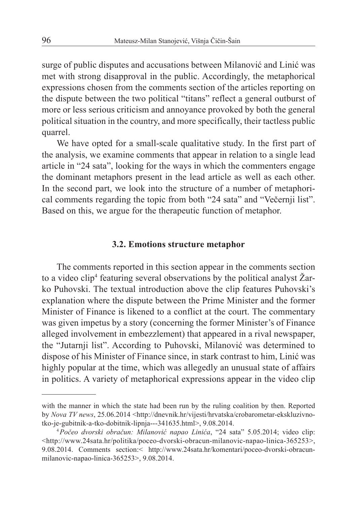surge of public disputes and accusations between Milanović and Linić was met with strong disapproval in the public. Accordingly, the metaphorical expressions chosen from the comments section of the articles reporting on the dispute between the two political "titans" reflect a general outburst of more or less serious criticism and annoyance provoked by both the general political situation in the country, and more specifically, their tactless public quarrel.

We have opted for a small-scale qualitative study. In the first part of the analysis, we examine comments that appear in relation to a single lead article in "24 sata", looking for the ways in which the commenters engage the dominant metaphors present in the lead article as well as each other. In the second part, we look into the structure of a number of metaphorical comments regarding the topic from both "24 sata" and "Večernji list". Based on this, we argue for the therapeutic function of metaphor.

### **3.2. Emotions structure metaphor**

The comments reported in this section appear in the comments section to a video clip<sup>4</sup> featuring several observations by the political analyst Zarko Puhovski. The textual introduction above the clip features Puhovski's explanation where the dispute between the Prime Minister and the former Minister of Finance is likened to a conflict at the court. The commentary was given impetus by a story (concerning the former Minister's of Finance alleged involvement in embezzlement) that appeared in a rival newspaper, the "Jutarnji list". According to Puhovski, Milanović was determined to dispose of his Minister of Finance since, in stark contrast to him, Linić was highly popular at the time, which was allegedly an unusual state of affairs in politics. A variety of metaphorical expressions appear in the video clip

with the manner in which the state had been run by the ruling coalition by then. Reported by *Nova TV news*, 25.06.2014 <http://dnevnik.hr/vijesti/hrvatska/crobarometar-ekskluzivnotko-je-gubitnik-a-tko-dobitnik-lipnja---341635.html>, 9.08.2014.

<sup>4</sup>*Počeo dvorski obračun: Milanović napao Linića*, "24 sata" 5.05.2014; video clip: <http://www.24sata.hr/politika/poceo-dvorski-obracun-milanovic-napao-linica-365253>, 9.08.2014. Comments section:< http://www.24sata.hr/komentari/poceo-dvorski-obracunmilanovic-napao-linica-365253>, 9.08.2014.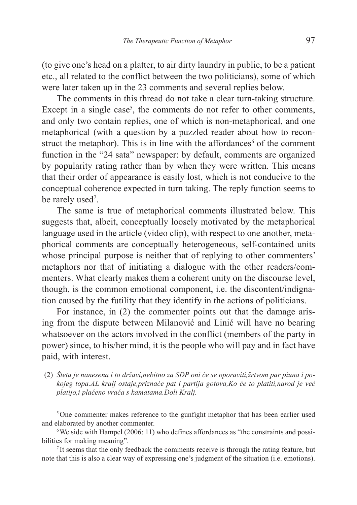(to give one's head on a platter, to air dirty laundry in public, to be a patient etc., all related to the conflict between the two politicians), some of which were later taken up in the 23 comments and several replies below.

The comments in this thread do not take a clear turn-taking structure. Except in a single case<sup>5</sup>, the comments do not refer to other comments, and only two contain replies, one of which is non-metaphorical, and one metaphorical (with a question by a puzzled reader about how to reconstruct the metaphor). This is in line with the affordances<sup>6</sup> of the comment function in the "24 sata" newspaper: by default, comments are organized by popularity rating rather than by when they were written. This means that their order of appearance is easily lost, which is not conducive to the conceptual coherence expected in turn taking. The reply function seems to be rarely used<sup>7</sup>.

The same is true of metaphorical comments illustrated below. This suggests that, albeit, conceptually loosely motivated by the metaphorical language used in the article (video clip), with respect to one another, metaphorical comments are conceptually heterogeneous, self-contained units whose principal purpose is neither that of replying to other commenters' metaphors nor that of initiating a dialogue with the other readers/commenters. What clearly makes them a coherent unity on the discourse level, though, is the common emotional component, i.e. the discontent/indignation caused by the futility that they identify in the actions of politicians.

For instance, in (2) the commenter points out that the damage arising from the dispute between Milanović and Linić will have no bearing whatsoever on the actors involved in the conflict (members of the party in power) since, to his/her mind, it is the people who will pay and in fact have paid, with interest.

(2) *Šteta je nanesena i to državi,nebitno za SDP oni će se oporaviti,žrtvom par piuna i pokojeg topa.AL kralj ostaje,priznaće pat i partija gotova,Ko će to platiti,narod je već platijo,i plaćeno vraća s kamatama.Doli Kralj.*

<sup>5</sup>One commenter makes reference to the gunfight metaphor that has been earlier used and elaborated by another commenter.

<sup>6</sup>We side with Hampel (2006: 11) who defines affordances as "the constraints and possibilities for making meaning".

<sup>7</sup> It seems that the only feedback the comments receive is through the rating feature, but note that this is also a clear way of expressing one's judgment of the situation (i.e. emotions).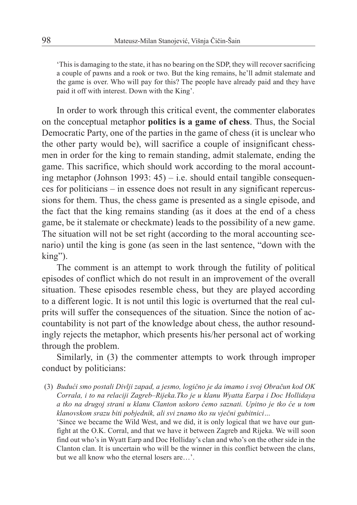'This is damaging to the state, it has no bearing on the SDP, they will recover sacrificing a couple of pawns and a rook or two. But the king remains, he'll admit stalemate and the game is over. Who will pay for this? The people have already paid and they have paid it off with interest. Down with the King'.

In order to work through this critical event, the commenter elaborates on the conceptual metaphor **politics is a game of chess**. Thus, the Social Democratic Party, one of the parties in the game of chess (it is unclear who the other party would be), will sacrifice a couple of insignificant chessmen in order for the king to remain standing, admit stalemate, ending the game. This sacrifice, which should work according to the moral accounting metaphor (Johnson 1993:  $45$ ) – i.e. should entail tangible consequences for politicians – in essence does not result in any significant repercussions for them. Thus, the chess game is presented as a single episode, and the fact that the king remains standing (as it does at the end of a chess game, be it stalemate or checkmate) leads to the possibility of a new game. The situation will not be set right (according to the moral accounting scenario) until the king is gone (as seen in the last sentence, "down with the king").

The comment is an attempt to work through the futility of political episodes of conflict which do not result in an improvement of the overall situation. These episodes resemble chess, but they are played according to a different logic. It is not until this logic is overturned that the real culprits will suffer the consequences of the situation. Since the notion of accountability is not part of the knowledge about chess, the author resoundingly rejects the metaphor, which presents his/her personal act of working through the problem.

Similarly, in (3) the commenter attempts to work through improper conduct by politicians:

(3) *Budući smo postali Divlji zapad, a jesmo, logično je da imamo i svoj Obračun kod OK Corrala, i to na relaciji Zagreb–Rijeka.Tko je u klanu Wyatta Earpa i Doc Hollidaya a tko na drugoj strani u klanu Clanton uskoro ćemo saznati. Upitno je tko će u tom klanovskom srazu biti pobjednik, ali svi znamo tko su vječni gubitnici…*

'Since we became the Wild West, and we did, it is only logical that we have our gunfight at the O.K. Corral, and that we have it between Zagreb and Rijeka. We will soon find out who's in Wyatt Earp and Doc Holliday's clan and who's on the other side in the Clanton clan. It is uncertain who will be the winner in this conflict between the clans, but we all know who the eternal losers are…'.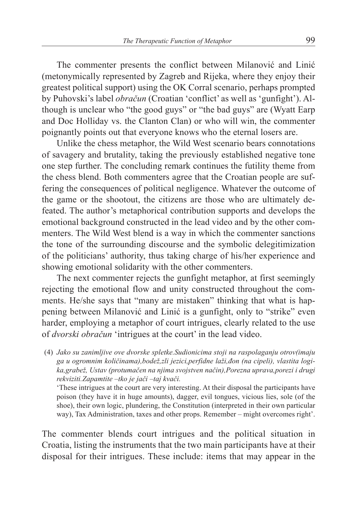The commenter presents the conflict between Milanović and Linić (metonymically represented by Zagreb and Rijeka, where they enjoy their greatest political support) using the OK Corral scenario, perhaps prompted by Puhovski's label *obračun* (Croatian 'conflict' as well as 'gunfight'). Although is unclear who "the good guys" or "the bad guys" are (Wyatt Earp and Doc Holliday vs. the Clanton Clan) or who will win, the commenter poignantly points out that everyone knows who the eternal losers are.

Unlike the chess metaphor, the Wild West scenario bears connotations of savagery and brutality, taking the previously established negative tone one step further. The concluding remark continues the futility theme from the chess blend. Both commenters agree that the Croatian people are suffering the consequences of political negligence. Whatever the outcome of the game or the shootout, the citizens are those who are ultimately defeated. The author's metaphorical contribution supports and develops the emotional background constructed in the lead video and by the other commenters. The Wild West blend is a way in which the commenter sanctions the tone of the surrounding discourse and the symbolic delegitimization of the politicians' authority, thus taking charge of his/her experience and showing emotional solidarity with the other commenters.

The next commenter rejects the gunfight metaphor, at first seemingly rejecting the emotional flow and unity constructed throughout the comments. He/she says that "many are mistaken" thinking that what is happening between Milanović and Linić is a gunfight, only to "strike" even harder, employing a metaphor of court intrigues, clearly related to the use of *dvorski obračun* 'intrigues at the court' in the lead video.

(4) *Jako su zanimljive ove dvorske spletke.Sudionicima stoji na raspolaganju otrov(imaju ga u ogromnim količinama),bodež,zli jezici,perfidne laži,đon (na cipeli), vlastita logika,grabež, Ustav (protumačen na njima svojstven način),Porezna uprava,porezi i drugi rekviziti.Zapamtite –tko je jači –taj kvači.*

'These intrigues at the court are very interesting. At their disposal the participants have poison (they have it in huge amounts), dagger, evil tongues, vicious lies, sole (of the shoe), their own logic, plundering, the Constitution (interpreted in their own particular way), Tax Administration, taxes and other props. Remember – might overcomes right'.

The commenter blends court intrigues and the political situation in Croatia, listing the instruments that the two main participants have at their disposal for their intrigues. These include: items that may appear in the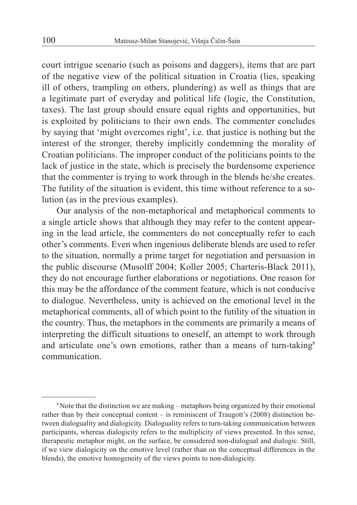court intrigue scenario (such as poisons and daggers), items that are part of the negative view of the political situation in Croatia (lies, speaking ill of others, trampling on others, plundering) as well as things that are a legitimate part of everyday and political life (logic, the Constitution, taxes). The last group should ensure equal rights and opportunities, but is exploited by politicians to their own ends. The commenter concludes by saying that 'might overcomes right', i.e. that justice is nothing but the interest of the stronger, thereby implicitly condemning the morality of Croatian politicians. The improper conduct of the politicians points to the lack of justice in the state, which is precisely the burdensome experience that the commenter is trying to work through in the blends he/she creates. The futility of the situation is evident, this time without reference to a solution (as in the previous examples).

Our analysis of the non-metaphorical and metaphorical comments to a single article shows that although they may refer to the content appearing in the lead article, the commenters do not conceptually refer to each other's comments. Even when ingenious deliberate blends are used to refer to the situation, normally a prime target for negotiation and persuasion in the public discourse (Musolff 2004; Koller 2005; Charteris-Black 2011), they do not encourage further elaborations or negotiations. One reason for this may be the affordance of the comment feature, which is not conducive to dialogue. Nevertheless, unity is achieved on the emotional level in the metaphorical comments, all of which point to the futility of the situation in the country. Thus, the metaphors in the comments are primarily a means of interpreting the difficult situations to oneself, an attempt to work through and articulate one's own emotions, rather than a means of turn-taking<sup>8</sup> communication.

<sup>8</sup>Note that the distinction we are making – metaphors being organized by their emotional rather than by their conceptual content – is reminiscent of Traugott's (2008) distinction between dialoguality and dialogicity. Dialoguality refers to turn-taking communication between participants, whereas dialogicity refers to the multiplicity of views presented. In this sense, therapeutic metaphor might, on the surface, be considered non-dialogual and dialogic. Still, if we view dialogicity on the emotive level (rather than on the conceptual differences in the blends), the emotive homogeneity of the views points to non-dialogicity.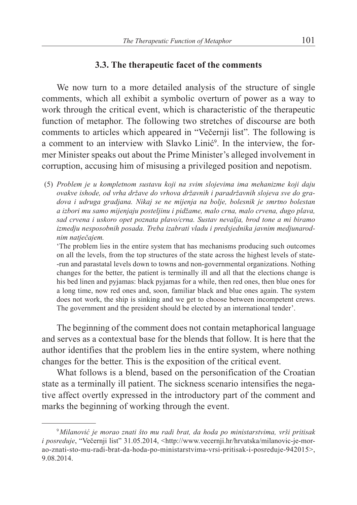## **3.3. The therapeutic facet of the comments**

We now turn to a more detailed analysis of the structure of single comments, which all exhibit a symbolic overturn of power as a way to work through the critical event, which is characteristic of the therapeutic function of metaphor. The following two stretches of discourse are both comments to articles which appeared in "Večernji list"*.* The following is a comment to an interview with Slavko Linić<sup>9</sup>. In the interview, the former Minister speaks out about the Prime Minister's alleged involvement in corruption, accusing him of misusing a privileged position and nepotism.

(5) *Problem je u kompletnom sustavu koji na svim slojevima ima mehanizme koji daju ovakve ishode, od vrha države do vrhova državnih i paradržavnih slojeva sve do gradova i udruga gradjana. Nikaj se ne mijenja na bolje, bolesnik je smrtno bolestan a izbori mu samo mijenjaju posteljinu i pidžame, malo crna, malo crvena, dugo plava, sad crvena i uskoro opet poznata plavo/crna. Sustav nevalja, brod tone a mi biramo izmedju nesposobnih posada. Treba izabrati vladu i predsjednika javnim medjunarodnim natječajem.*

'The problem lies in the entire system that has mechanisms producing such outcomes on all the levels, from the top structures of the state across the highest levels of state- -run and parastatal levels down to towns and non-governmental organizations. Nothing changes for the better, the patient is terminally ill and all that the elections change is his bed linen and pyjamas: black pyjamas for a while, then red ones, then blue ones for a long time, now red ones and, soon, familiar black and blue ones again. The system does not work, the ship is sinking and we get to choose between incompetent crews. The government and the president should be elected by an international tender'.

The beginning of the comment does not contain metaphorical language and serves as a contextual base for the blends that follow. It is here that the author identifies that the problem lies in the entire system, where nothing changes for the better. This is the exposition of the critical event.

What follows is a blend, based on the personification of the Croatian state as a terminally ill patient. The sickness scenario intensifies the negative affect overtly expressed in the introductory part of the comment and marks the beginning of working through the event.

<sup>9</sup>*Milanović je morao znati što mu radi brat, da hoda po ministarstvima, vrši pritisak i* posreduje, "Večernji list" 31.05.2014, <http://www.vecernji.hr/hrvatska/milanovic-je-morao-znati-sto-mu-radi-brat-da-hoda-po-ministarstvima-vrsi-pritisak-i-posreduje-942015>, 9.08.2014.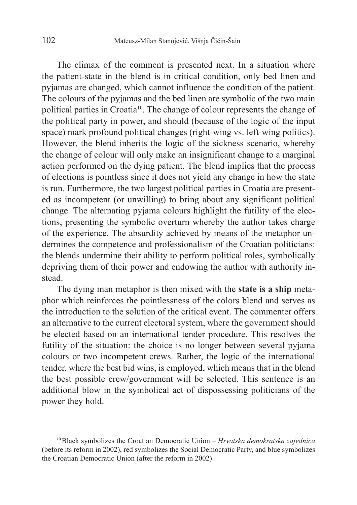The climax of the comment is presented next. In a situation where the patient-state in the blend is in critical condition, only bed linen and pyjamas are changed, which cannot influence the condition of the patient. The colours of the pyjamas and the bed linen are symbolic of the two main political parties in Croatia10. The change of colour represents the change of the political party in power, and should (because of the logic of the input space) mark profound political changes (right-wing vs. left-wing politics). However, the blend inherits the logic of the sickness scenario, whereby the change of colour will only make an insignificant change to a marginal action performed on the dying patient. The blend implies that the process of elections is pointless since it does not yield any change in how the state is run. Furthermore, the two largest political parties in Croatia are presented as incompetent (or unwilling) to bring about any significant political change. The alternating pyjama colours highlight the futility of the elections, presenting the symbolic overturn whereby the author takes charge of the experience. The absurdity achieved by means of the metaphor undermines the competence and professionalism of the Croatian politicians: the blends undermine their ability to perform political roles, symbolically depriving them of their power and endowing the author with authority instead.

The dying man metaphor is then mixed with the **state is a ship** metaphor which reinforces the pointlessness of the colors blend and serves as the introduction to the solution of the critical event. The commenter offers an alternative to the current electoral system, where the government should be elected based on an international tender procedure. This resolves the futility of the situation: the choice is no longer between several pyjama colours or two incompetent crews. Rather, the logic of the international tender, where the best bid wins, is employed, which means that in the blend the best possible crew/government will be selected. This sentence is an additional blow in the symbolical act of dispossessing politicians of the power they hold.

<sup>10</sup>Black symbolizes the Croatian Democratic Union – *Hrvatska demokratska zajednica* (before its reform in 2002), red symbolizes the Social Democratic Party, and blue symbolizes the Croatian Democratic Union (after the reform in 2002).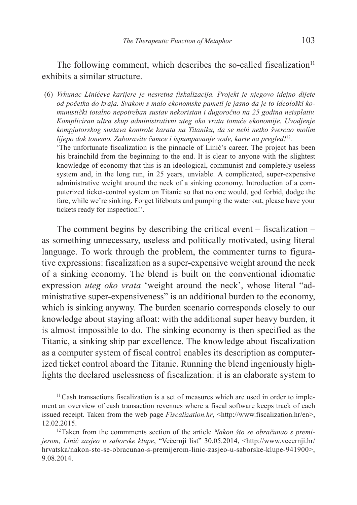The following comment, which describes the so-called fiscalization $11$ exhibits a similar structure.

(6) *Vrhunac Linićeve karijere je nesretna fiskalizacija. Projekt je njegovo idejno dijete od početka do kraja. Svakom s malo ekonomske pameti je jasno da je to ideološki komunistički totalno nepotreban sustav nekoristan i dugoročno na 25 godina neisplativ. Kompliciran ultra skup administrativni uteg oko vrata tonuće ekonomije. Uvodjenje kompjutorskog sustava kontrole karata na Titaniku, da se nebi netko švercao molim lijepo dok tonemo. Zaboravite čamce i ispumpavanje vode, karte na pregled!*<sup>12</sup>*.* 'The unfortunate fiscalization is the pinnacle of Linić's career. The project has been his brainchild from the beginning to the end. It is clear to anyone with the slightest knowledge of economy that this is an ideological, communist and completely useless system and, in the long run, in 25 years, unviable. A complicated, super-expensive administrative weight around the neck of a sinking economy. Introduction of a computerized ticket-control system on Titanic so that no one would, god forbid, dodge the fare, while we're sinking. Forget lifeboats and pumping the water out, please have your tickets ready for inspection!'.

The comment begins by describing the critical event – fiscalization – as something unnecessary, useless and politically motivated, using literal language. To work through the problem, the commenter turns to figurative expressions: fiscalization as a super-expensive weight around the neck of a sinking economy. The blend is built on the conventional idiomatic expression *uteg oko vrata* 'weight around the neck', whose literal "administrative super-expensiveness" is an additional burden to the economy, which is sinking anyway. The burden scenario corresponds closely to our knowledge about staying afloat: with the additional super heavy burden, it is almost impossible to do. The sinking economy is then specified as the Titanic, a sinking ship par excellence. The knowledge about fiscalization as a computer system of fiscal control enables its description as computerized ticket control aboard the Titanic. Running the blend ingeniously highlights the declared uselessness of fiscalization: it is an elaborate system to

 $<sup>11</sup>$ Cash transactions fiscalization is a set of measures which are used in order to imple-</sup> ment an overview of cash transaction revenues where a fiscal software keeps track of each issued receipt. Taken from the web page *Fiscalization.hr*, <http://www.fiscalization.hr/en>, 12.02.2015. 12Taken from the commments section of the article *Nakon što se obračunao s premi-*

*jerom, Linić zasjeo u saborske klupe*, "Večernji list" 30.05.2014, <http://www.vecernji.hr/ hrvatska/nakon-sto-se-obracunao-s-premijerom-linic-zasjeo-u-saborske-klupe-941900>, 9.08.2014.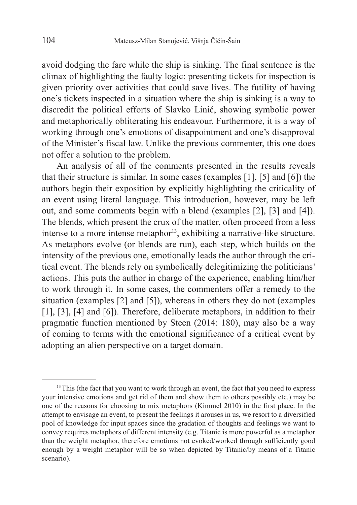avoid dodging the fare while the ship is sinking. The final sentence is the climax of highlighting the faulty logic: presenting tickets for inspection is given priority over activities that could save lives. The futility of having one's tickets inspected in a situation where the ship is sinking is a way to discredit the political efforts of Slavko Linić, showing symbolic power and metaphorically obliterating his endeavour. Furthermore, it is a way of working through one's emotions of disappointment and one's disapproval of the Minister's fiscal law. Unlike the previous commenter, this one does not offer a solution to the problem.

An analysis of all of the comments presented in the results reveals that their structure is similar. In some cases (examples [1], [5] and [6]) the authors begin their exposition by explicitly highlighting the criticality of an event using literal language. This introduction, however, may be left out, and some comments begin with a blend (examples [2], [3] and [4]). The blends, which present the crux of the matter, often proceed from a less intense to a more intense metaphor<sup>13</sup>, exhibiting a narrative-like structure. As metaphors evolve (or blends are run), each step, which builds on the intensity of the previous one, emotionally leads the author through the critical event. The blends rely on symbolically delegitimizing the politicians' actions. This puts the author in charge of the experience, enabling him/her to work through it. In some cases, the commenters offer a remedy to the situation (examples [2] and [5]), whereas in others they do not (examples [1], [3], [4] and [6]). Therefore, deliberate metaphors, in addition to their pragmatic function mentioned by Steen (2014: 180), may also be a way of coming to terms with the emotional significance of a critical event by adopting an alien perspective on a target domain.

<sup>&</sup>lt;sup>13</sup>This (the fact that you want to work through an event, the fact that you need to express your intensive emotions and get rid of them and show them to others possibly etc.) may be one of the reasons for choosing to mix metaphors (Kimmel 2010) in the first place. In the attempt to envisage an event, to present the feelings it arouses in us, we resort to a diversified pool of knowledge for input spaces since the gradation of thoughts and feelings we want to convey requires metaphors of different intensity (e.g. Titanic is more powerful as a metaphor than the weight metaphor, therefore emotions not evoked/worked through sufficiently good enough by a weight metaphor will be so when depicted by Titanic/by means of a Titanic scenario).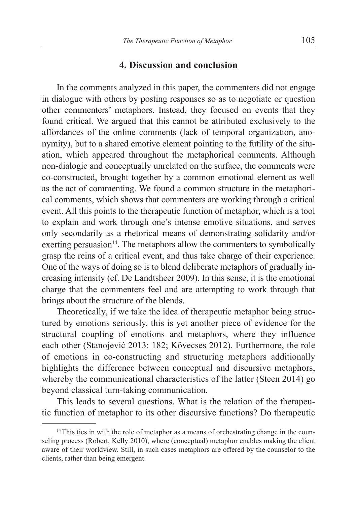## **4. Discussion and conclusion**

In the comments analyzed in this paper, the commenters did not engage in dialogue with others by posting responses so as to negotiate or question other commenters' metaphors. Instead, they focused on events that they found critical. We argued that this cannot be attributed exclusively to the affordances of the online comments (lack of temporal organization, anonymity), but to a shared emotive element pointing to the futility of the situation, which appeared throughout the metaphorical comments. Although non-dialogic and conceptually unrelated on the surface, the comments were co-constructed, brought together by a common emotional element as well as the act of commenting. We found a common structure in the metaphorical comments, which shows that commenters are working through a critical event. All this points to the therapeutic function of metaphor, which is a tool to explain and work through one's intense emotive situations, and serves only secondarily as a rhetorical means of demonstrating solidarity and/or exerting persuasion $14$ . The metaphors allow the commenters to symbolically grasp the reins of a critical event, and thus take charge of their experience. One of the ways of doing so is to blend deliberate metaphors of gradually increasing intensity (cf. De Landtsheer 2009). In this sense, it is the emotional charge that the commenters feel and are attempting to work through that brings about the structure of the blends.

Theoretically, if we take the idea of therapeutic metaphor being structured by emotions seriously, this is yet another piece of evidence for the structural coupling of emotions and metaphors, where they influence each other (Stanojević 2013: 182; Kövecses 2012). Furthermore, the role of emotions in co-constructing and structuring metaphors additionally highlights the difference between conceptual and discursive metaphors, whereby the communicational characteristics of the latter (Steen 2014) go beyond classical turn-taking communication.

This leads to several questions. What is the relation of the therapeutic function of metaphor to its other discursive functions? Do therapeutic

<sup>&</sup>lt;sup>14</sup>This ties in with the role of metaphor as a means of orchestrating change in the counseling process (Robert, Kelly 2010), where (conceptual) metaphor enables making the client aware of their worldview. Still, in such cases metaphors are offered by the counselor to the clients, rather than being emergent.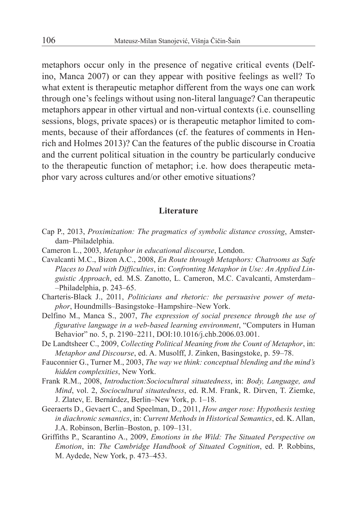metaphors occur only in the presence of negative critical events (Delfino, Manca 2007) or can they appear with positive feelings as well? To what extent is therapeutic metaphor different from the ways one can work through one's feelings without using non-literal language? Can therapeutic metaphors appear in other virtual and non-virtual contexts (i.e. counselling sessions, blogs, private spaces) or is therapeutic metaphor limited to comments, because of their affordances (cf. the features of comments in Henrich and Holmes 2013)? Can the features of the public discourse in Croatia and the current political situation in the country be particularly conducive to the therapeutic function of metaphor; i.e. how does therapeutic metaphor vary across cultures and/or other emotive situations?

#### **Literature**

- Cap P., 2013, *Proximization: The pragmatics of symbolic distance crossing*, Amsterdam–Philadelphia.
- Cameron L., 2003, *Metaphor in educational discourse*, London.
- Cavalcanti M.C., Bizon A.C., 2008, *En Route through Metaphors: Chatrooms as Safe Places to Deal with Difficulties*, in: *Confronting Metaphor in Use: An Applied Linguistic Approach*, ed. M.S. Zanotto, L. Cameron, M.C. Cavalcanti, Amsterdam– –Philadelphia, p. 243–65.
- Charteris-Black J., 2011, *Politicians and rhetoric: the persuasive power of metaphor*, Houndmills–Basingstoke–Hampshire–New York.
- Delfino M., Manca S., 2007, *The expression of social presence through the use of figurative language in a web-based learning environment*, "Computers in Human Behavior" no. 5, p. 2190–2211, DOI:10.1016/j.chb.2006.03.001.
- De Landtsheer C., 2009, *Collecting Political Meaning from the Count of Metaphor*, in: *Metaphor and Discourse*, ed. A. Musolff, J. Zinken, Basingstoke, p. 59–78.
- Fauconnier G., Turner M., 2003, *The way we think: conceptual blending and the mind's hidden complexities*, New York.
- Frank R.M., 2008, *Introduction:Sociocultural situatedness*, in: *Body, Language, and Mind*, vol. 2, *Sociocultural situatedness*, ed. R.M. Frank, R. Dirven, T. Ziemke, J. Zlatev, E. Bernárdez, Berlin–New York, p. 1–18.
- Geeraerts D., Gevaert C., and Speelman, D., 2011, *How anger rose: Hypothesis testing in diachronic semantics*, in: *Current Methods in Historical Semantics*, ed. K. Allan, J.A. Robinson, Berlin–Boston, p. 109–131.
- Griffiths P., Scarantino A., 2009, *Emotions in the Wild: The Situated Perspective on Emotion*, in: *The Cambridge Handbook of Situated Cognition*, ed. P. Robbins, M. Aydede, New York, p. 473–453.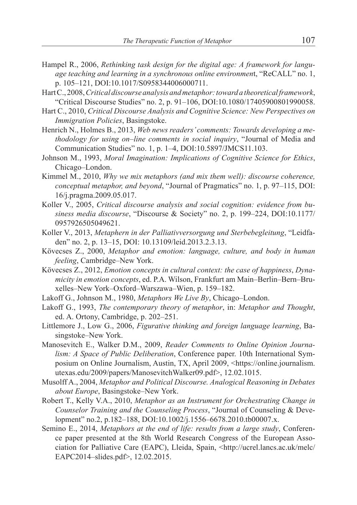- Hampel R., 2006, *Rethinking task design for the digital age: A framework for language teaching and learning in a synchronous online environmen*t, "ReCALL" no. 1, p. 105–121, DOI:10.1017/S0958344006000711.
- Hart C., 2008, *Critical discourse analysis and metaphor: toward a theoretical framework*, "Critical Discourse Studies" no. 2, p. 91–106, DOI:10.1080/17405900801990058.
- Hart C., 2010, *Critical Discourse Analysis and Cognitive Science: New Perspectives on Immigration Policies*, Basingstoke.
- Henrich N., Holmes B., 2013, *Web news readers' comments: Towards developing a methodology for using on–line comments in social inquiry*, "Journal of Media and Communication Studies" no. 1, p. 1–4, DOI:10.5897/JMCS11.103.
- Johnson M., 1993, *Moral Imagination: Implications of Cognitive Science for Ethics*, Chicago–London.
- Kimmel M., 2010, *Why we mix metaphors (and mix them well): discourse coherence, conceptual metaphor, and beyond, "Journal of Pragmatics" no. 1, p. 97-115, DOI:* 16/j.pragma.2009.05.017.
- Koller V., 2005, *Critical discourse analysis and social cognition: evidence from business media discourse*, "Discourse & Society" no. 2, p. 199–224, DOI:10.1177/ 0957926505049621.
- Koller V., 2013, *Metaphern in der Palliativversorgung und Sterbebegleitung*, "Leidfaden" no. 2, p. 13–15, DOI: 10.13109/leid.2013.2.3.13.
- Kövecses Z., 2000, *Metaphor and emotion: language, culture, and body in human feeling*, Cambridge–New York.
- Kövecses Z., 2012, *Emotion concepts in cultural context: the case of happiness*, *Dynamicity in emotion concepts*, ed. P.A. Wilson, Frankfurt am Main–Berlin–Bern–Bruxelles–New York–Oxford–Warszawa–Wien, p. 159–182.
- Lakoff G., Johnson M., 1980, *Metaphors We Live By*, Chicago–London.
- Lakoff G., 1993, *The contemporary theory of metaphor*, in: *Metaphor and Thought*, ed. A. Ortony, Cambridge, p. 202–251.
- Littlemore J., Low G., 2006, *Figurative thinking and foreign language learning*, Basingstoke–New York.
- Manosevitch E., Walker D.M., 2009, *Reader Comments to Online Opinion Journalism: A Space of Public Deliberation*, Conference paper. 10th International Symposium on Online Journalism, Austin, TX, April 2009, <https://online.journalism. utexas.edu/2009/papers/ManosevitchWalker09.pdf>, 12.02.1015.
- Musolff A., 2004, *Metaphor and Political Discourse. Analogical Reasoning in Debates about Europe*, Basingstoke–New York.
- Robert T., Kelly V.A., 2010, *Metaphor as an Instrument for Orchestrating Change in Counselor Training and the Counseling Process*, "Journal of Counseling & Development" no.2, p.182–188, DOI:10.1002/j.1556–6678.2010.tb00007.x.
- Semino E., 2014, *Metaphors at the end of life: results from a large study*, Conference paper presented at the 8th World Research Congress of the European Association for Palliative Care (EAPC), Lleida, Spain, <http://ucrel.lancs.ac.uk/melc/ EAPC2014–slides.pdf>, 12.02.2015.